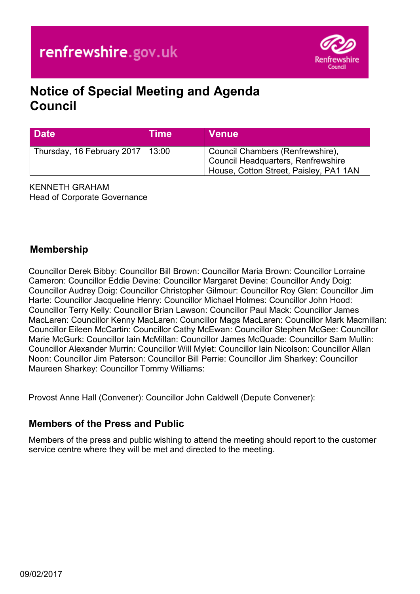

# **Notice of Special Meeting and Agenda Council**

| <b>Date</b>                        | Time | <b>Venue</b>                                                                                                     |
|------------------------------------|------|------------------------------------------------------------------------------------------------------------------|
| Thursday, 16 February 2017   13:00 |      | Council Chambers (Renfrewshire),<br>Council Headquarters, Renfrewshire<br>House, Cotton Street, Paisley, PA1 1AN |

KENNETH GRAHAM Head of Corporate Governance

# **Membership**

Councillor Derek Bibby: Councillor Bill Brown: Councillor Maria Brown: Councillor Lorraine Cameron: Councillor Eddie Devine: Councillor Margaret Devine: Councillor Andy Doig: Councillor Audrey Doig: Councillor Christopher Gilmour: Councillor Roy Glen: Councillor Jim Harte: Councillor Jacqueline Henry: Councillor Michael Holmes: Councillor John Hood: Councillor Terry Kelly: Councillor Brian Lawson: Councillor Paul Mack: Councillor James MacLaren: Councillor Kenny MacLaren: Councillor Mags MacLaren: Councillor Mark Macmillan: Councillor Eileen McCartin: Councillor Cathy McEwan: Councillor Stephen McGee: Councillor Marie McGurk: Councillor Iain McMillan: Councillor James McQuade: Councillor Sam Mullin: Councillor Alexander Murrin: Councillor Will Mylet: Councillor Iain Nicolson: Councillor Allan Noon: Councillor Jim Paterson: Councillor Bill Perrie: Councillor Jim Sharkey: Councillor Maureen Sharkey: Councillor Tommy Williams:

Provost Anne Hall (Convener): Councillor John Caldwell (Depute Convener):

# **Members of the Press and Public**

Members of the press and public wishing to attend the meeting should report to the customer service centre where they will be met and directed to the meeting.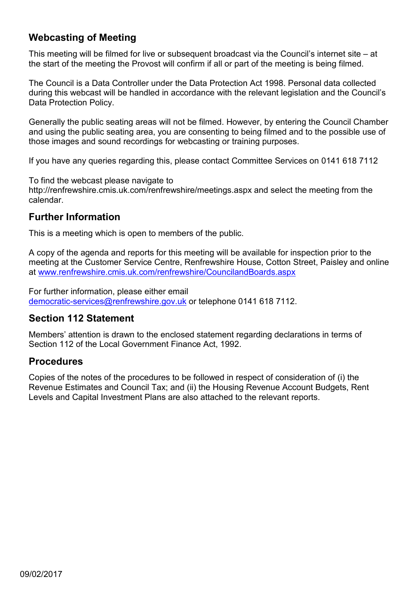# **Webcasting of Meeting**

This meeting will be filmed for live or subsequent broadcast via the Council's internet site – at the start of the meeting the Provost will confirm if all or part of the meeting is being filmed.

The Council is a Data Controller under the Data Protection Act 1998. Personal data collected during this webcast will be handled in accordance with the relevant legislation and the Council's Data Protection Policy.

Generally the public seating areas will not be filmed. However, by entering the Council Chamber and using the public seating area, you are consenting to being filmed and to the possible use of those images and sound recordings for webcasting or training purposes.

If you have any queries regarding this, please contact Committee Services on 0141 618 7112

To find the webcast please navigate to

http://renfrewshire.cmis.uk.com/renfrewshire/meetings.aspx and select the meeting from the calendar.

#### **Further Information**

This is a meeting which is open to members of the public.

A copy of the agenda and reports for this meeting will be available for inspection prior to the meeting at the Customer Service Centre, Renfrewshire House, Cotton Street, Paisley and online at [www.renfrewshire.cmis.uk.com/renfrewshire/CouncilandBoards.aspx](http://www.renfrewshire.cmis.uk.com/renfrewshire/CouncilandBoards.aspx)

For further information, please either email [democratic-services@renfrewshire.gov.uk](mailto:democratic-services@renfrewshire.gov.uk) or telephone 0141 618 7112.

#### **Section 112 Statement**

Members' attention is drawn to the enclosed statement regarding declarations in terms of Section 112 of the Local Government Finance Act, 1992.

#### **Procedures**

Copies of the notes of the procedures to be followed in respect of consideration of (i) the Revenue Estimates and Council Tax; and (ii) the Housing Revenue Account Budgets, Rent Levels and Capital Investment Plans are also attached to the relevant reports.